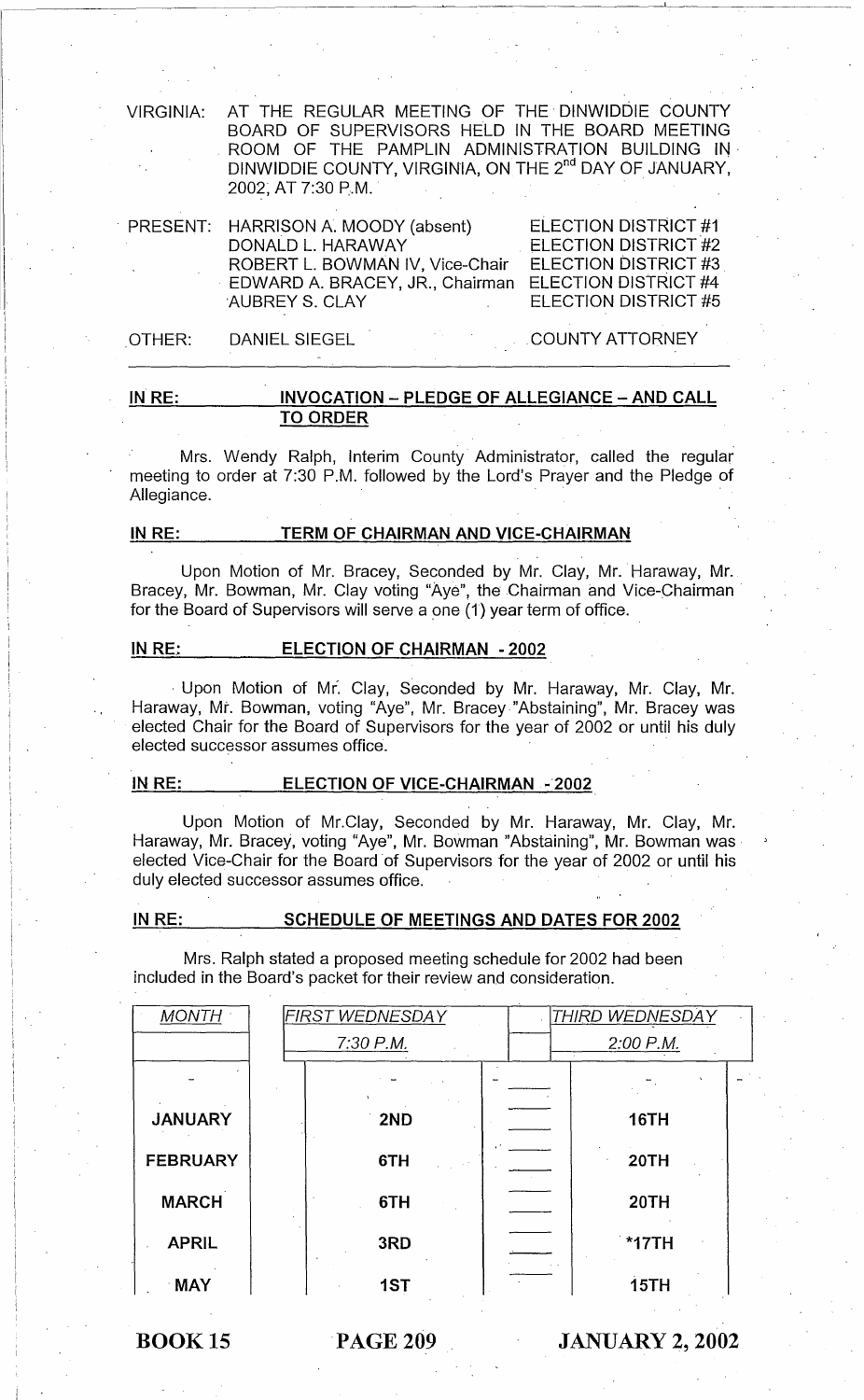VIRGINIA: AT THE REGULAR MEETING OF THE' DINWIDDIE COUNTY BOARD OF SUPERVISORS HELD IN THE BOARD MEETING ROOM OF THE PAMPLIN ADMINISTRATION BUILDING IN DINWIDDIE COUNTY, VIRGINIA, ON THE 2<sup>nd</sup> DAY OF JANUARY, 2002; AT 7:30 P.M. '

| PRESENT: HARRISON A. MOODY (absent) | <b>ELECTION DISTRICT #1</b> |
|-------------------------------------|-----------------------------|
| DONALD L. HARAWAY                   | ELECTION DISTRICT #2        |
| ROBERT L. BOWMAN IV, Vice-Chair     | ELECTION DISTRICT #3        |
| EDWARD A. BRACEY, JR., Chairman     | ELECTION DISTRICT #4        |
| AUBREY S. CLAY                      | ELECTION DISTRICT #5        |
|                                     |                             |

OTHER: DANIEL SIEGEL ,COUNTY ATTORNEY

#### **IN RE: INVOCATION - PLEDGE OF ALLEGIANCE - AND CALL TO ORDER**

Mrs. Wendy Ralph, Interim County Administrator, called the regular meeting to order at 7:30 P.M. followed by the Lord's Prayer and the Pledge of Allegiance.

#### **IN RE: TERM OF CHAIRMAN AND VICE-CHAIRMAN**

Upon Motion of Mr. Bracey, Seconded by Mr. Clay, Mr.' Haraway, Mr. Bracey, Mr. Bowman, Mr. Clay voting "Aye", the Chairman and Vice-Chairman' for the Board of Supervisors will serve a one (1) year term of office.

#### **IN** RE,: **ELECTION OF CHAIRMAN - 2002**

, Upon Motion of Mr. Clay, Seconded by Mr. Haraway, Mr. Clay, Mr. Haraway, Mt. Bowman, voting "Aye", Mr. Bracey "Abstaining", Mr. Bracey was elected Chair for the Board of Supervisors for the year of 2002 or until his duly elected successor assumes office.

#### **IN RE: ELECTION OF VICE-CHAIRMAN -2002**

Upon Motion of Mr.Clay, Seconded by Mr. Haraway, Mr. Clay, Mr. Haraway, Mr. Bracey, voting "Aye", Mr. Bowman "Abstaining", Mr. Bowman was, elected Vice-Chair for the Board 'of Supervisors for the year of 2002 or until his duly elected successor assumes office.

# **IN RE: SCHEDULE OF MEETINGS AND DATES FOR 2002**

Mrs. Ralph stated a proposed meeting schedule for 2002 had been included in the Board's packet for their review and consideration.

| <b>MONTH</b>    | <b>FIRST WEDNESDAY</b> | THIRD WEDNESDAY |
|-----------------|------------------------|-----------------|
|                 | 2:00 P.M.<br>7:30 P.M. |                 |
|                 |                        |                 |
| <b>JANUARY</b>  | 2ND                    | <b>16TH</b>     |
| <b>FEBRUARY</b> | 6TH                    | 20TH            |
| <b>MARCH</b>    | 6TH                    | <b>20TH</b>     |
| <b>APRIL</b>    | 3RD                    | *17TH           |
| <b>MAY</b>      | 1ST                    | 15TH            |

BOOK 15 'PAGE **209 JANUARY 2, 2002**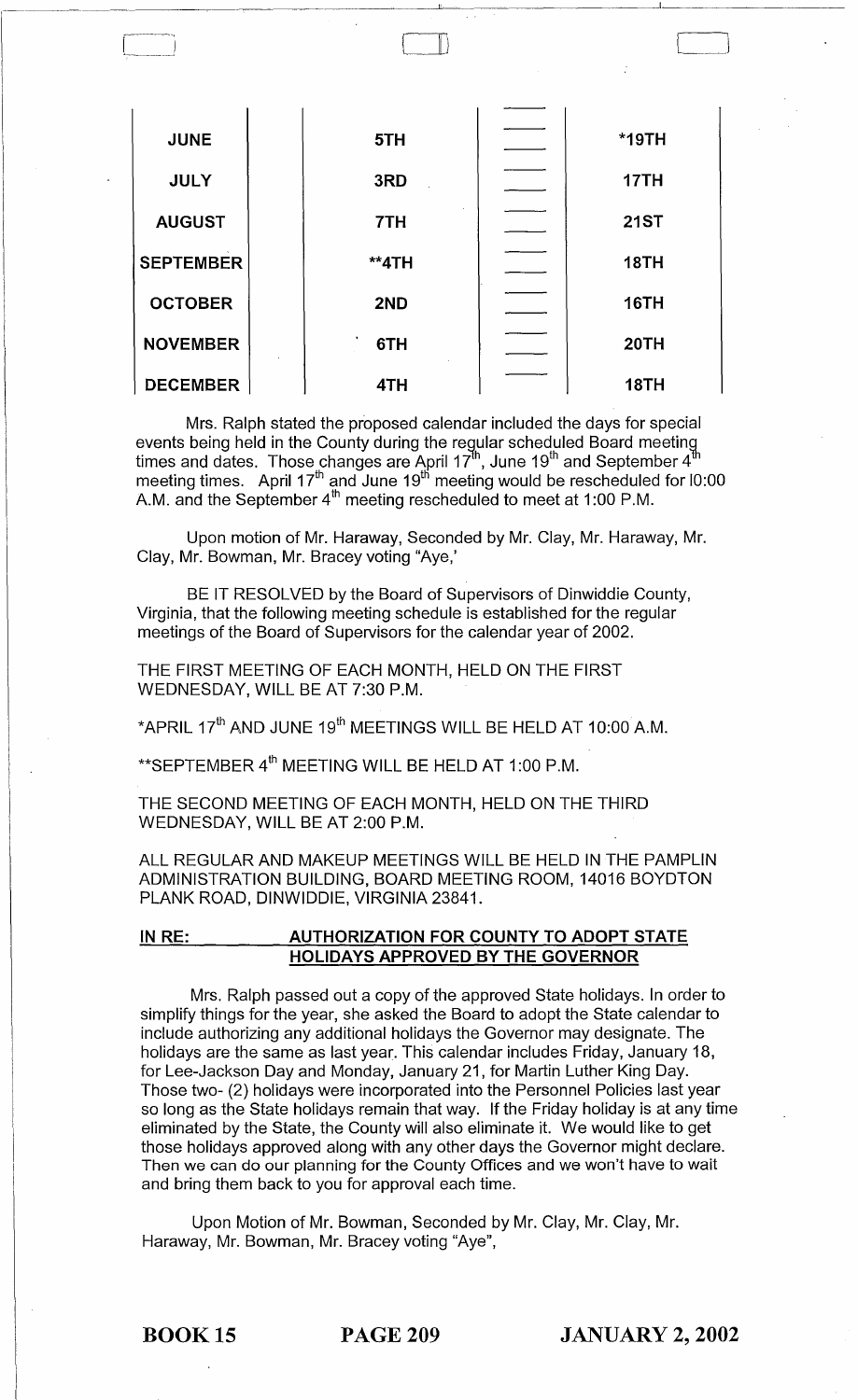| <b>JUNE</b>      | 5TH   | $*$ 19TH    |
|------------------|-------|-------------|
| <b>JULY</b>      | 3RD   | 17TH        |
| <b>AUGUST</b>    | 7TH   | <b>21ST</b> |
| <b>SEPTEMBER</b> | **4TH | <b>18TH</b> |
| <b>OCTOBER</b>   | 2ND   | <b>16TH</b> |
| <b>NOVEMBER</b>  | 6TH   | 20TH        |
| <b>DECEMBER</b>  | 4TH   | <b>18TH</b> |

-----~----,,-----~ \_\_\_\_\_\_ I \_\_\_\_\_\_ ---

L\_l

Mrs. Ralph stated the proposed calendar included the days for special events being held in the County during the regular scheduled Board meeting<br>times and dates. Those changes are April 17<sup>th</sup>, June 19<sup>th</sup> and September 4<sup>th</sup> meeting times.  $\,$  April 17 $\,^{\text{th}}$  and June 19 $^{\text{th}}$  meeting would be rescheduled for l0:00  $\,$ A.M. and the September 4"' meeting rescheduled to meet at 1:00 P.M.  $\,$ 

Upon motion of Mr. Haraway, Seconded by Mr. Clay, Mr. Haraway, Mr. Clay, Mr. Bowman, Mr. Bracey voting "Aye,'

BE IT RESOLVED by the Board of Supervisors of Dinwiddie County, Virginia, that the following meeting schedule is established for the regular meetings of the Board of Supervisors for the calendar year of 2002.

THE FIRST MEETING OF EACH MONTH, HELD ON THE FIRST WEDNESDAY, WILL BE AT 7:30 P.M.

\*APRIL  $17<sup>th</sup>$  AND JUNE  $19<sup>th</sup>$  MEETINGS WILL BE HELD AT 10:00 A.M.

\*\* SEPTEMBER 4<sup>th</sup> MEETING WILL BE HELD AT 1:00 P.M.

THE SECOND MEETING OF EACH MONTH, HELD ON THE THIRD WEDNESDAY, WILL BE AT 2:00 P.M.

ALL REGULAR AND MAKEUP MEETINGS WILL BE HELD IN THE PAMPLIN ADMINISTRATION BUILDING, BOARD MEETING ROOM, 14016 BOYDTON PLANK ROAD, DINWIDDIE, VIRGINIA 23841.

IN RE: \_\_\_\_\_\_\_\_\_\_ AUTHORIZATION FOR COUNTY TO ADOPT STATE HOLIDAYS APPROVED BY THE GOVERNOR

Mrs. Ralph passed out a copy of the approved State holidays. In order to simplify things for the year, she asked the Board to adopt the State calendar to include authorizing any additional holidays the Governor may designate. The holidays are the same as last year. This calendar includes Friday, January 18, for Lee-Jackson Day and Monday, January 21, for Martin Luther King Day. Those two- (2) holidays were incorporated into the Personnel Policies last year so long as the State holidays remain that way. If the Friday holiday is at any time eliminated by the State, the County will also eliminate it. We would like to get those holidays approved along with any other days the Governor might declare. Then we can do our planning for the County Offices and we won't have to wait and bring them back to you for approval each time.

Upon Motion of Mr. Bowman, Seconded by Mr. Clay, Mr. Clay, Mr. Haraway, Mr. Bowman, Mr. Bracey voting "Aye",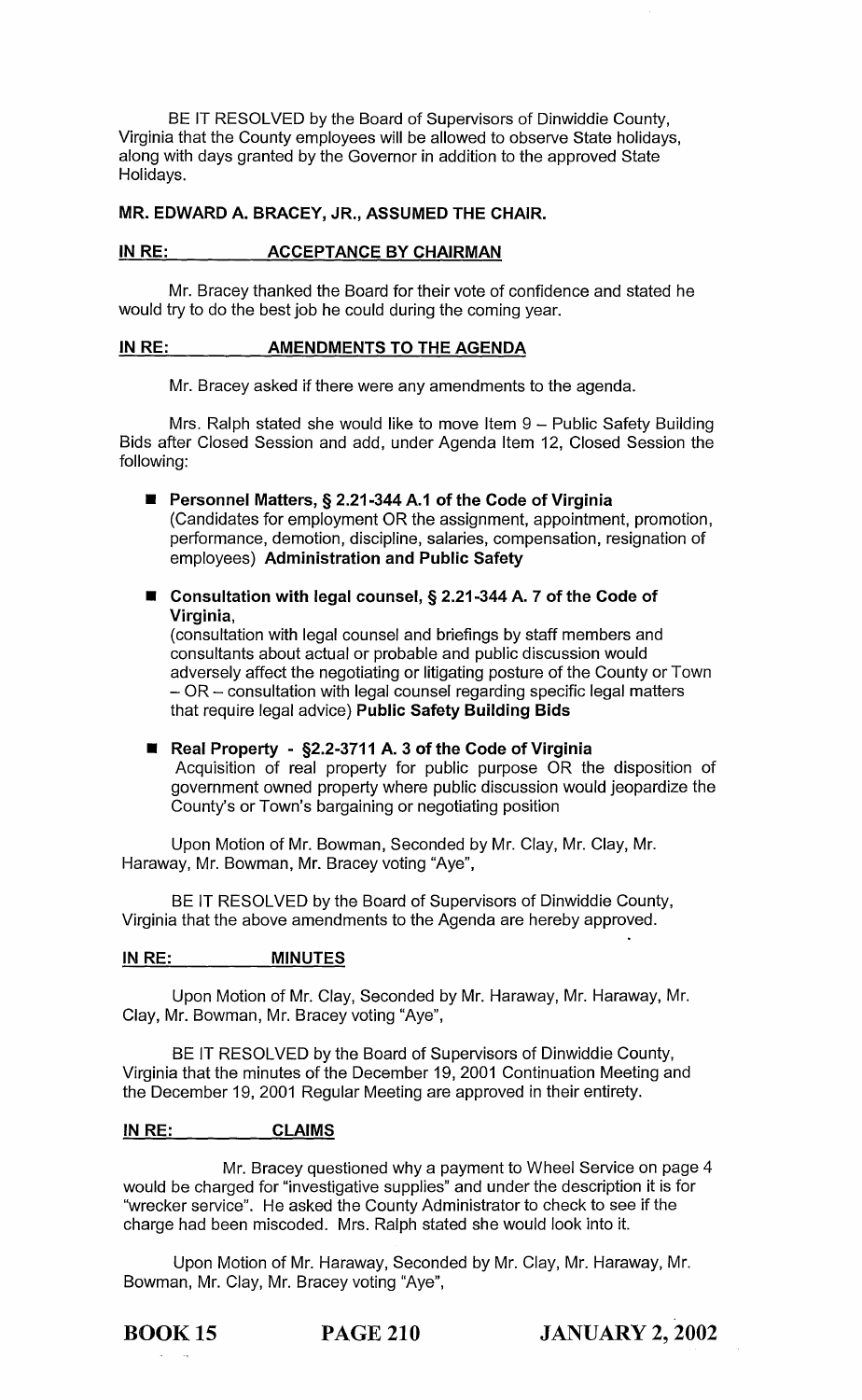BE IT RESOLVED by the Board of Supervisors of Dinwiddie County, Virginia that the County employees will be allowed to observe State holidays, along with days granted by the Governor in addition to the approved State Holidays.

## MR. EDWARD A. BRACEY, JR., ASSUMED THE CHAIR.

### IN RE: ACCEPTANCE BY CHAIRMAN

Mr. Bracey thanked the Board for their vote of confidence and stated he would try to do the best job he could during the coming year.

#### IN RE:  $\frac{1}{10}$   $\frac{1}{10}$   $\frac{1}{10}$  AMENDMENTS TO THE AGENDA

Mr. Bracey asked if there were any amendments to the agenda.

Mrs. Ralph stated she would like to move Item  $9 -$  Public Safety Building Bids after Closed Session and add, under Agenda Item 12, Closed Session the following:

■ Personnel Matters, § 2.21-344 A.1 of the Code of Virginia (Candidates for employment OR the assignment, appointment, promotion, performance, demotion, discipline, salaries, compensation, resignation of employees) Administration and Public Safety

■ Consultation with legal counsel, § 2.21-344 A. 7 of the Code of Virginia,

(consultation with legal counsel and briefings by staff members and consultants about actual or probable and public discussion would adversely affect the negotiating or litigating posture of the County or Town  $-$  OR  $-$  consultation with legal counsel regarding specific legal matters that require legal advice) Public Safety Building Bids

■ Real Property - §2.2-3711 A. 3 of the Code of Virginia Acquisition of real property for public purpose OR the disposition of government owned property where public discussion would jeopardize the County's or Town's bargaining or negotiating position

Upon Motion of Mr. Bowman, Seconded by Mr. Clay, Mr. Clay, Mr. Haraway, Mr. Bowman, Mr. Bracey voting "Aye",

BE IT RESOLVED by the Board of Supervisors of Dinwiddie County, Virginia that the above amendments to the Agenda are hereby approved.

#### IN RE: MINUTES

Upon Motion of Mr. Clay, Seconded by Mr. Haraway, Mr. Haraway, Mr. Clay, Mr. Bowman, Mr. Bracey voting "Aye",

BE IT RESOLVED by the Board of Supervisors of Dinwiddie County, Virginia that the minutes of the December 19, 2001 Continuation Meeting and the December 19, 2001 Regular Meeting are approved in their entirety.

#### IN RE: CLAIMS

Mr. Bracey questioned why a payment to Wheel Service on page 4 would be charged for "investigative supplies" and under the description it is for "wrecker service". He asked the County Administrator to check to see if the charge had been miscoded. Mrs. Ralph stated she would look into it.

Upon Motion of Mr. Haraway, Seconded by Mr. Clay, Mr. Haraway, Mr. Bowman, Mr. Clay, Mr. Bracey voting "Aye",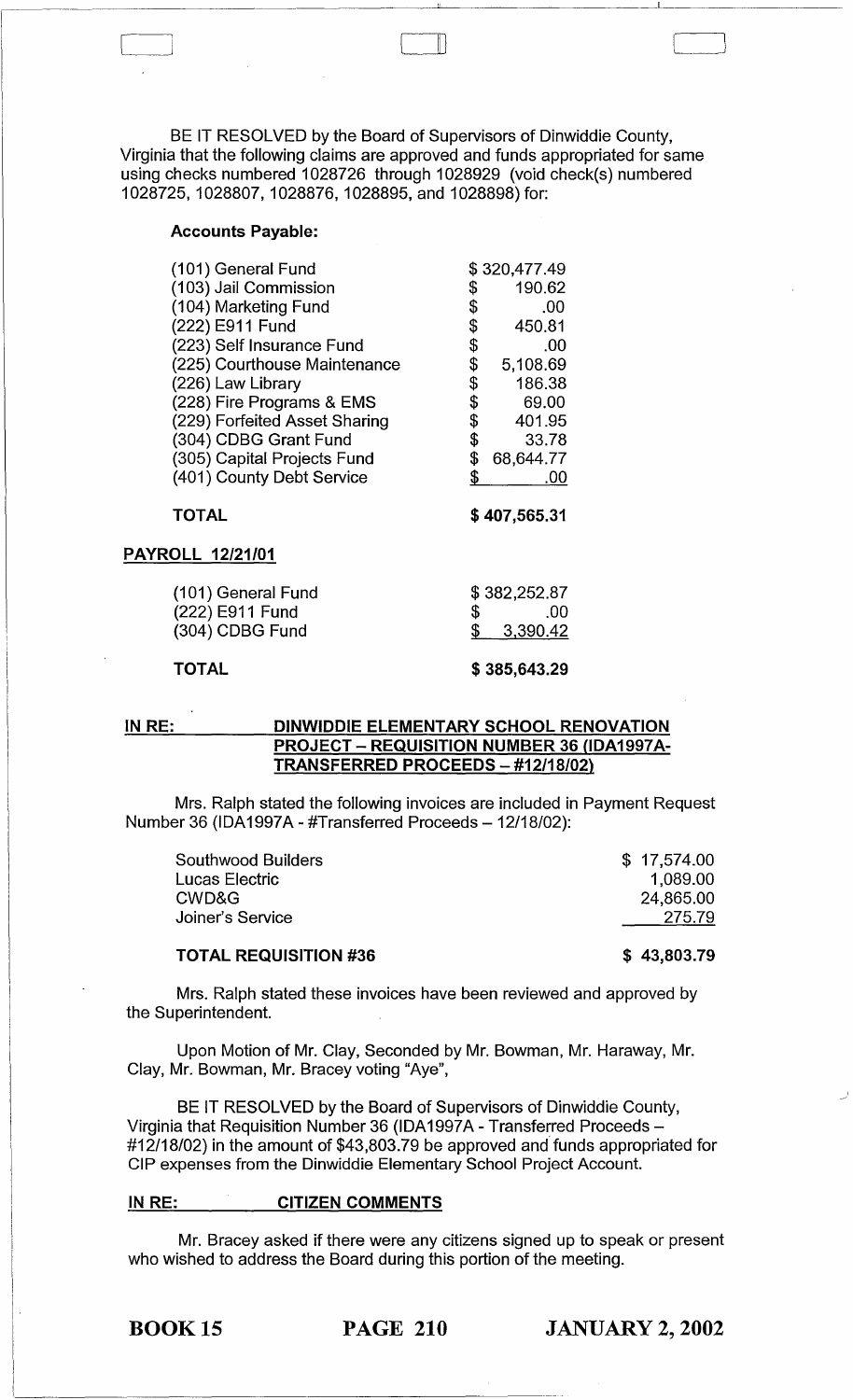BE IT RESOLVED by the Board of Supervisors of Dinwiddie County, Virginia that the following claims are approved and funds appropriated for same using checks numbered 1028726 through 1028929 (void check(s) numbered 1028725, 1028807, 1028876, 1028895, and 1028898) for:

 $\mathbb D$ 

#### Accounts Payable:

| (101) General Fund            | \$320,477.49   |
|-------------------------------|----------------|
| (103) Jail Commission         | \$<br>190.62   |
| (104) Marketing Fund          | \$<br>.00      |
| (222) E911 Fund               | \$<br>450.81   |
| (223) Self Insurance Fund     | \$<br>.00      |
| (225) Courthouse Maintenance  | \$<br>5,108.69 |
| (226) Law Library             | \$<br>186.38   |
| (228) Fire Programs & EMS     | \$<br>69.00    |
| (229) Forfeited Asset Sharing | \$<br>401.95   |
| (304) CDBG Grant Fund         | \$<br>33.78    |
| (305) Capital Projects Fund   | 68,644.77      |
| (401) County Debt Service     | .00            |
|                               |                |

#### TOTAL

\$ 407,565.31

#### PAYROLL 12/21/01

| (101) General Fund | \$382,252.87 |
|--------------------|--------------|
| (222) E911 Fund    | .00          |
| (304) CDBG Fund    | \$3,390.42   |
|                    |              |

# TOTAL

\$ 385,643.29

### IN RE: DINWIDDIE ELEMENTARY SCHOOL RENOVATION PROJECT - REQUISITION NUMBER 36 (IDA1997A-TRANSFERRED PROCEEDS - #12/18/02)

Mrs. Ralph stated the following invoices are included in Payment Request Number 36 (IDA1997A - #Transferred Proceeds - 12/18/02):

| <b>Southwood Builders</b><br>Lucas Electric<br>CWD&G | \$17,574.00<br>1.089.00<br>24,865.00 |
|------------------------------------------------------|--------------------------------------|
| Joiner's Service                                     | 275.79                               |
| <b>TOTAL REQUISITION #36</b>                         | \$43,803.79                          |

#### TOTAL REQUISITION #36

Mrs. Ralph stated these invoices have been reviewed and approved by the Superintendent.

Upon Motion of Mr. Clay, Seconded by Mr. Bowman, Mr. Haraway, Mr. Clay, Mr. Bowman, Mr. Bracey voting "Aye",

BE IT RESOLVED by the Board of Supervisors of Dinwiddie County, Virginia that Requisition Number 36 (IDA1997A - Transferred Proceeds- #12/18/02) in the amount of \$43,803.79 be approved and funds appropriated for CIP expenses from the Dinwiddie Elementary School Project Account.

#### INRE: CITIZEN COMMENTS

------------------------------------------------

Mr. Bracey asked if there were any citizens signed up to speak or present who wished to address the Board during this portion of the meeting.

I

I,

BOOK 15 PAGE 210 JANUARY 2, 2002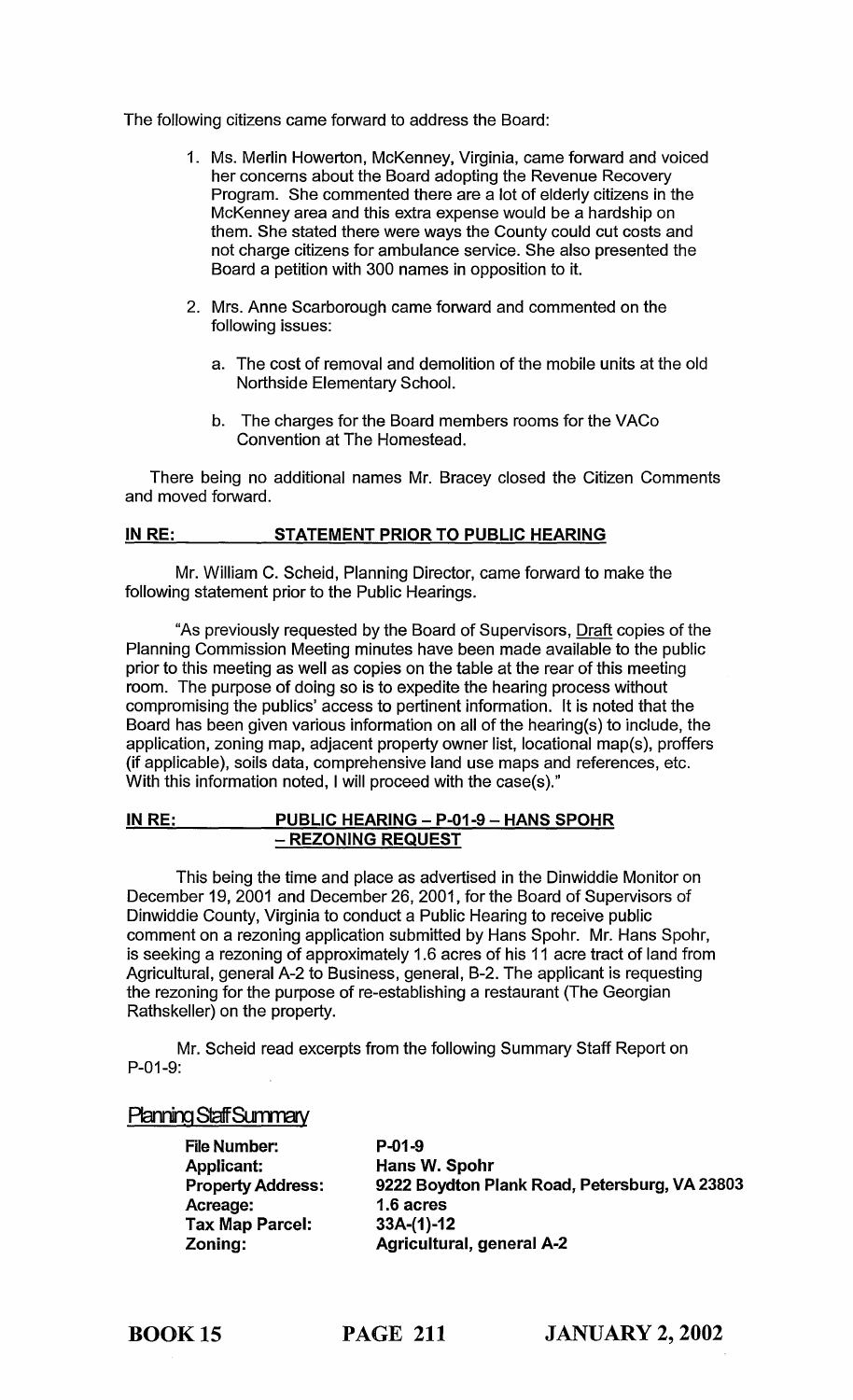The following citizens came forward to address the Board:

- 1. Ms. Merlin Howerton, McKenney, Virginia, came forward and voiced her concerns about the Board adopting the Revenue Recovery Program. She commented there are a lot of elderly citizens in the McKenney area and this extra expense would be a hardship on them. She stated there were ways the County could cut costs and not charge citizens for ambulance service. She also presented the Board a petition with 300 names in opposition to it.
- 2. Mrs. Anne Scarborough came forward and commented on the following issues:
	- a. The cost of removal and demolition of the mobile units at the old Northside Elementary School.
	- b. The charges for the Board members rooms for the VACo Convention at The Homestead.

There being no additional names Mr. Bracey closed the Citizen Comments and moved forward.

### IN RE: STATEMENT PRIOR TO PUBLIC HEARING

Mr. William C. Scheid, Planning Director, came forward to make the following statement prior to the Public Hearings.

"As previously requested by the Board of Supervisors, Draft copies of the Planning Commission Meeting minutes have been made available to the public prior to this meeting as well as copies on the table at the rear of this meeting room. The purpose of doing so is to expedite the hearing process without compromising the publics' access to pertinent information. It is noted that the Board has been given various information on all of the hearing(s) to include, the application, zoning map, adjacent property owner list, locational map(s), proffers (if applicable), soils data, comprehensive land use maps and references, etc. With this information noted, I will proceed with the case(s)."

#### IN RE: PUBLIC HEARING - P-01-9 - HANS SPOHR - REZONING REQUEST

This being the time and place as advertised in the Dinwiddie Monitor on December 19, 2001 and December 26, 2001, for the Board of Supervisors of Dinwiddie County, Virginia to conduct a Public Hearing to receive public comment on a rezoning application submitted by Hans Spohr. Mr. Hans Spohr, is seeking a rezoning of approximately 1.6 acres of his 11 acre tract of land from Agricultural, general A-2 to Business, general, B-2. The applicant is requesting the rezoning for the purpose of re-establishing a restaurant (The Georgian Rathskeller) on the property.

Mr. Scheid read excerpts from the following Summary Staff Report on P-01-9:

# Planning Staff Summary

File Number: Applicant: Property Address: Acreage: Tax Map Parcel: Zoning:

P-01-9 Hans W. Spohr 9222 Boydton Plank Road, Petersburg, VA 23803 1.6 acres 33A-(1)-12 Agricultural, general A-2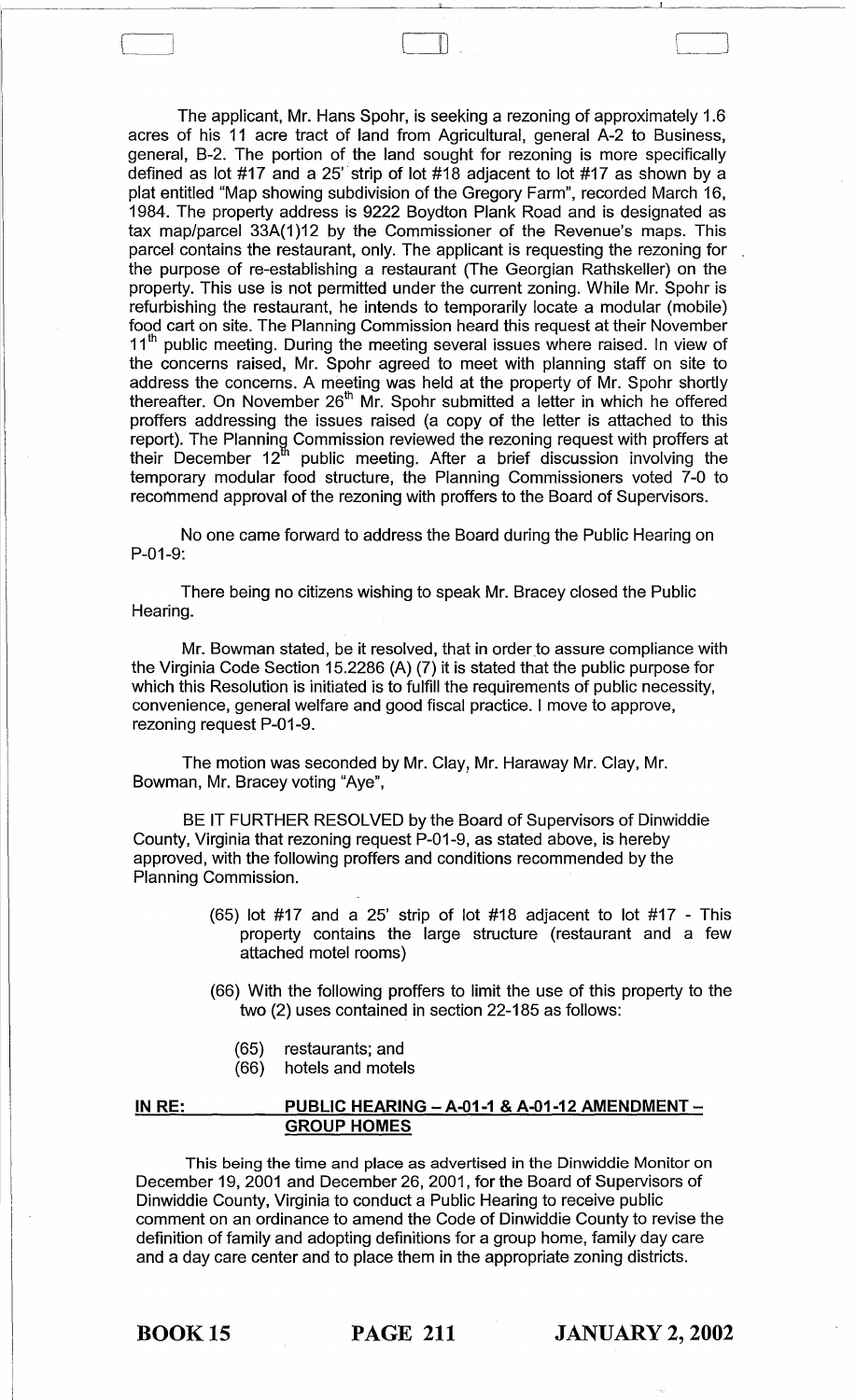The applicant, Mr. Hans Spohr, is seeking a rezoning of approximately 1.6 acres of his 11 acre tract of land from Agricultural, general A-2 to Business, general, B-2. The portion of. the land sought for rezoning is more specifically defined as lot #17 and a 25' strip of lot #18 adjacent to lot #17 as shown by a plat entitled "Map showing subdivision of the Gregory Farm", recorded March 16, 1984. The property address is 9222 Boydton Plank Road and is designated as tax map/parcel 33A(1)12 by the Commissioner of the Revenue's maps. This parcel contains the restaurant, only. The applicant is requesting the rezoning for the purpose of re-establishing a restaurant (The Georgian Rathskeller) on the property. This use is not permitted under the current zoning. While Mr. Spohr is refurbishing the restaurant, he intends to temporarily locate a modular (mobile) food cart on site. The Planning Commission heard this request at their November 11<sup>th</sup> public meeting. During the meeting several issues where raised. In view of the concerns raised, Mr. Spohr agreed to meet with planning staff on site to address the concerns. A meeting was held at the property of Mr. Spohr shortly thereafter. On November 26<sup>th</sup> Mr. Spohr submitted a letter in which he offered proffers addressing the issues raised (a copy of the letter is attached to this report). The Planning Commission reviewed the rezoning request with proffers at their December 12" public meeting. After a brief discussion involving the temporary modular food structure, the Planning Commissioners voted 7-0 to recommend approval of the rezoning with proffers to the Board of Supervisors.

 $\Box$ 

No one came forward to address the Board during the Public Hearing on P-01-9:

There being no citizens wishing to speak Mr. Bracey closed the Public Hearing.

Mr. Bowman stated, be it resolved, that in order to assure compliance with the Virginia Code Section 15.2286 (A) (7) it is stated that the public purpose for which this Resolution is initiated is to fulfill the requirements of public necessity, convenience, general welfare and good fiscal practice. I move to approve, rezoning request P-01-9.

The motion was seconded by Mr. Clay, Mr. Haraway Mr. Clay, Mr. Bowman, Mr. Bracey voting "Aye",

BE IT FURTHER RESOLVED by the Board of Supervisors of Dinwiddie County, Virginia that rezoning request P-01-9, as stated above, is hereby approved, with the following proffers and conditions recommended by the Planning Commission.

- (65) lot #17 and a 25' strip of lot #18 adjacent to lot #17 This property contains the large structure (restaurant and a few attached motel rooms)
- (66) With the following proffers to limit the use of this property to the two (2) uses contained in section 22-185 as follows:
	- (65) restaurants; and
	- (66) hotels and motels

#### IN RE: PUBLIC HEARING  $-$  A-01-1 & A-01-12 AMENDMENT $-$ GROUP HOMES

This being the time and place as advertised in the Dinwiddie Monitor on December 19, 2001 and December 26, 2001, for the Board of Supervisors of Dinwiddie County, Virginia to conduct a Public Hearing to receive public comment on an ordinance to amend the Code of Dinwiddie County to revise the definition of family and adopting definitions for a group home, family day care and a day care center and to place them in the appropriate zoning districts.

BOOK 15 PAGE 211 JANUARY 2, 2002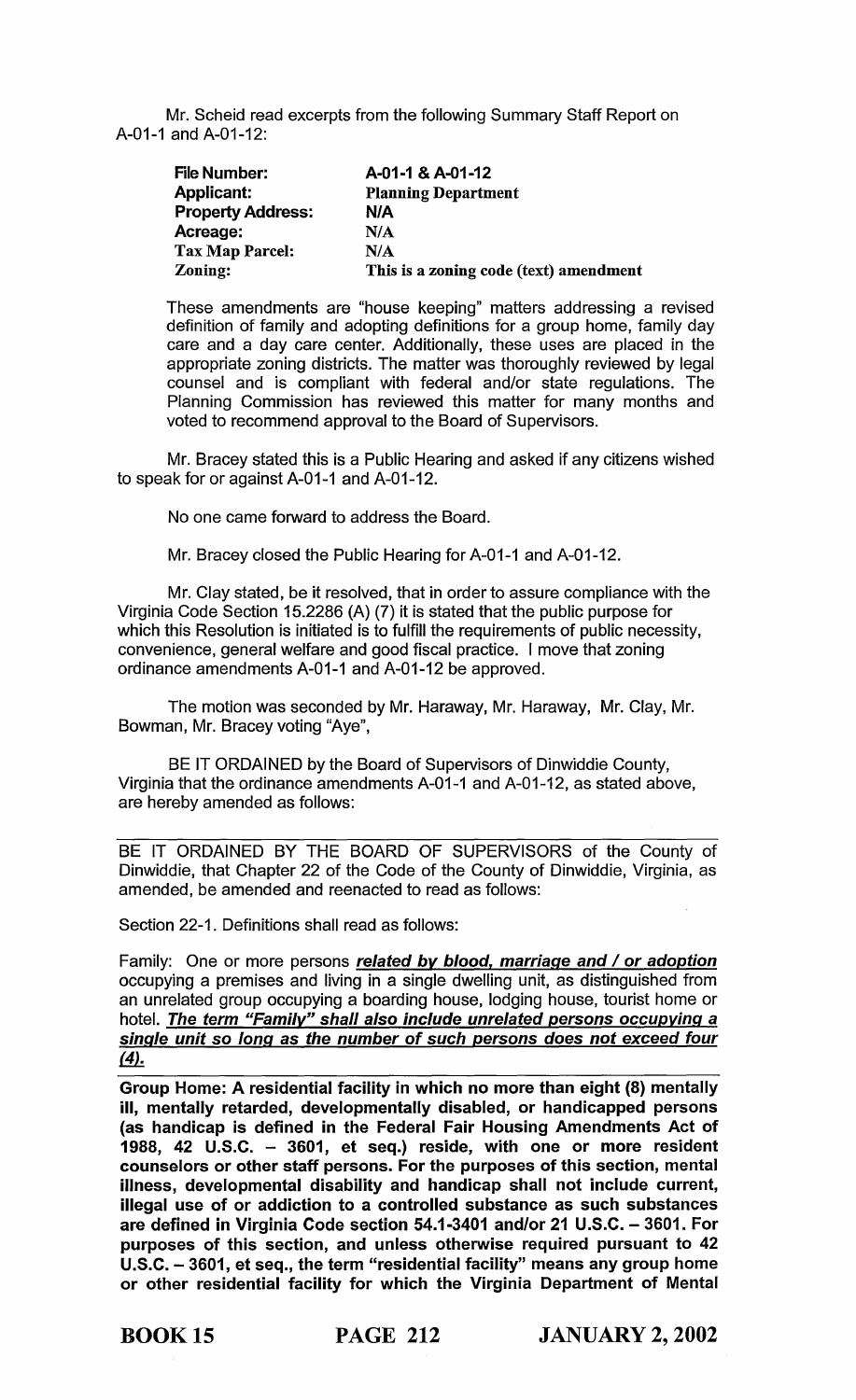Mr. Scheid read excerpts from the following Summary Staff Report on A-01-1 and A-01-12:

| <b>File Number:</b>      | A-01-1 & A-01-12                       |
|--------------------------|----------------------------------------|
| <b>Applicant:</b>        | <b>Planning Department</b>             |
| <b>Property Address:</b> | N/A                                    |
| Acreage:                 | N/A                                    |
| <b>Tax Map Parcel:</b>   | N/A                                    |
| Zoning:                  | This is a zoning code (text) amendment |

These amendments are "house keeping" matters addressing a revised definition of family and adopting definitions for a group home, family day care and a day care center. Additionally, these uses are placed in the appropriate zoning districts. The matter was thoroughly reviewed by legal counsel and is compliant with federal and/or state regulations. The Planning Commission has reviewed this matter for many months and voted to recommend approval to the Board of Supervisors.

Mr. Bracey stated this is a Public Hearing and asked if any citizens wished to speak for or against A-01-1 and A-01-12.

No one came forward to address the Board.

Mr. Bracey closed the Public Hearing for A-01-1 and A-01-12.

Mr. Clay stated, be it resolved, that in order to assure compliance with the Virginia Code Section 15.2286 (A) (7) it is stated that the public purpose for which this Resolution is initiated is to fulfill the requirements of public necessity, convenience, general welfare and good fiscal practice. I move that zoning ordinance amendments A-01-1 and A-01-12 be approved.

The motion was seconded by Mr. Haraway, Mr. Haraway, Mr. Clay, Mr. Bowman, Mr. Bracey voting "Aye",

BE IT ORDAINED by the Board of Supervisors of Dinwiddie County, Virginia that the ordinance amendments A-01-1 and A-01-12, as stated above, are hereby amended as follows:

BE IT ORDAINED BY THE BOARD OF SUPERVISORS of the County of Dinwiddie, that Chapter 22 of the Code of the County of Dinwiddie, Virginia, as amended, be amended and reenacted to read as follows:

Section 22-1. Definitions shall read as follows:

Family: One or more persons related by blood, marriage and / or adoption occupying a premises and living in a single dwelling unit, as distinguished from an unrelated group occupying a boarding house, lodging house, tourist home or hotel. The term "Family" shall also include unrelated persons occupying a single unit so long as the number of such persons does not exceed four  $(4).$ 

Group Home: A residential facility in which no more than eight (8) mentally ill, mentally retarded, developmentally disabled, or handicapped persons (as handicap is defined in the Federal Fair Housing Amendments Act of 1988, 42 U.S.C. - 3601, et seq.) reside, with one or more resident counselors or other staff persons. For the purposes of this section, mental illness, developmental disability and handicap shall not include current, illegal use of or addiction to a controlled substance as such substances are defined in Virginia Code section 54.1-3401 and/or 21 U.S.C. - 3601. For purposes of this section, and unless otherwise required pursuant to 42 U.S.C. - 3601, et seq., the term "residential facility" means any group home or other residential facility for which the Virginia Department of Mental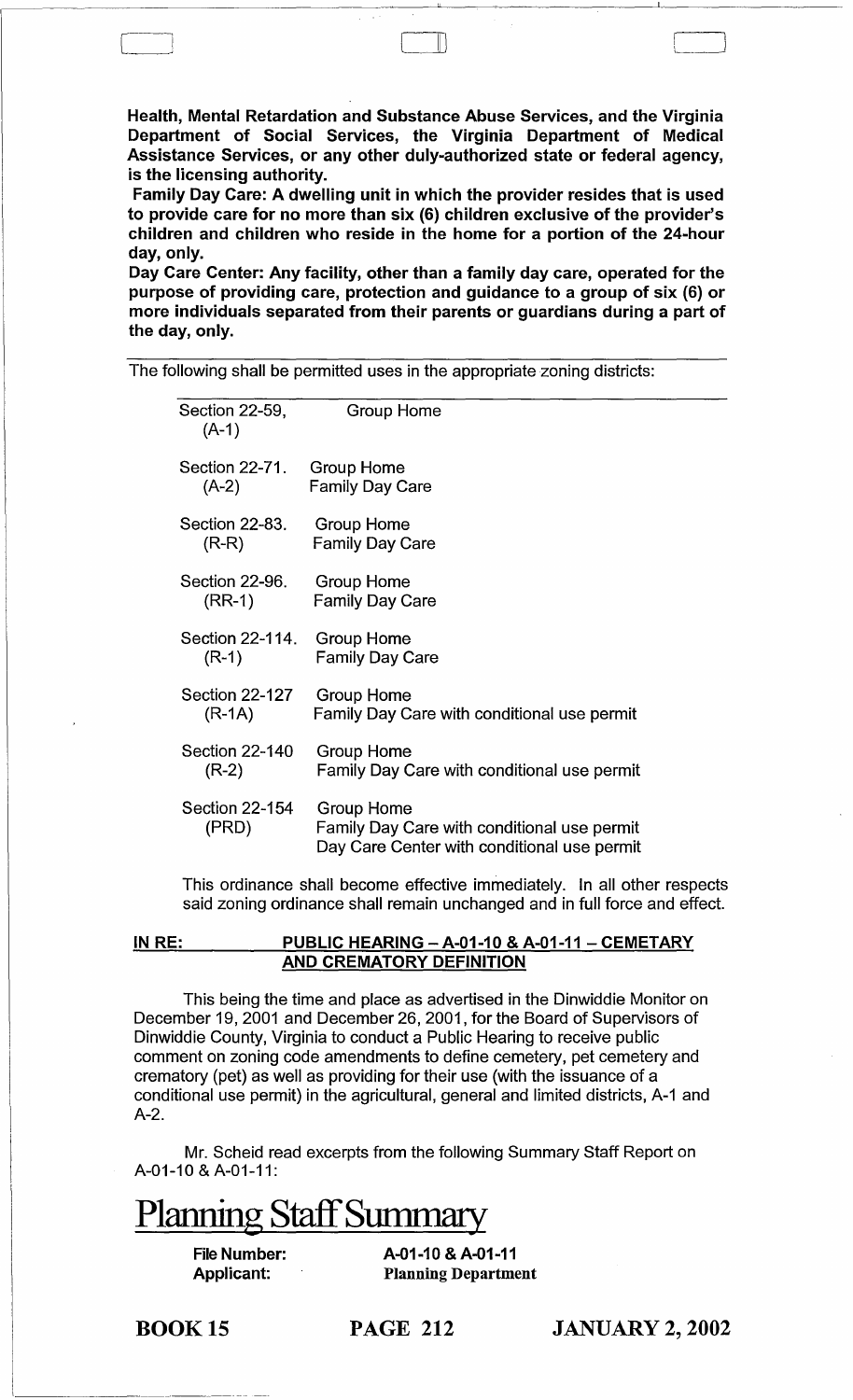Health, Mental Retardation and Substance Abuse Services, and the Virginia Department of Social Services, the Virginia Department of Medical Assistance Services, or any other duly-authorized state or federal agency, is the licensing authority.

II)

Family Day Care: A dwelling unit in which the provider resides that is used to provide care for no more than six (6) children exclusive of the provider's children and children who reside in the home for a portion of the 24-hour day, only.

Day Care Center: Any facility, other than a family day care, operated for the purpose of providing care, protection and guidance to a group of six (6) or more individuals separated from their parents or guardians during a part of the day, only.

The following shall be permitted uses in the appropriate zoning districts:

| Section 22-59,<br>$(A-1)$      | Group Home                                                                                               |
|--------------------------------|----------------------------------------------------------------------------------------------------------|
| Section 22-71.                 | <b>Group Home</b>                                                                                        |
| $(A-2)$                        | <b>Family Day Care</b>                                                                                   |
| Section 22-83.                 | Group Home                                                                                               |
| $(R-R)$                        | <b>Family Day Care</b>                                                                                   |
| Section 22-96.                 | Group Home                                                                                               |
| $(RR-1)$                       | <b>Family Day Care</b>                                                                                   |
| Section 22-114.                | <b>Group Home</b>                                                                                        |
| $(R-1)$                        | <b>Family Day Care</b>                                                                                   |
| <b>Section 22-127</b>          | <b>Group Home</b>                                                                                        |
| $(R-1A)$                       | Family Day Care with conditional use permit                                                              |
| Section 22-140                 | Group Home                                                                                               |
| $(R-2)$                        | Family Day Care with conditional use permit                                                              |
| <b>Section 22-154</b><br>(PRD) | Group Home<br>Family Day Care with conditional use permit<br>Day Care Center with conditional use permit |

This ordinance shall become effective immediately. In all other respects said zoning ordinance shall remain unchanged and in full force and effect.

### IN RE: PUBLIC HEARING - A-01-10 & A-01-11 - CEMETARY AND CREMATORY DEFINITION

This being the time and place as advertised in the Dinwiddie Monitor on December 19, 2001 and December 26, 2001, for the Board of Supervisors of Dinwiddie County, Virginia to conduct a Public Hearing to receive public comment on zoning code amendments to define cemetery, pet cemetery and crematory (pet) as well as providing for their use (with the issuance of a conditional use permit) in the agricultural, general and limited districts, A-1 and A-2.

Mr. Scheid read excerpts from the following Summary Staff Report on A-01-10 & A-01-11:

# Planning Staff Summary

File Number: Applicant:

A-01-10 & A-01-11 Planning Department

BOOK 15

PAGE 212 JANUARY 2, 2002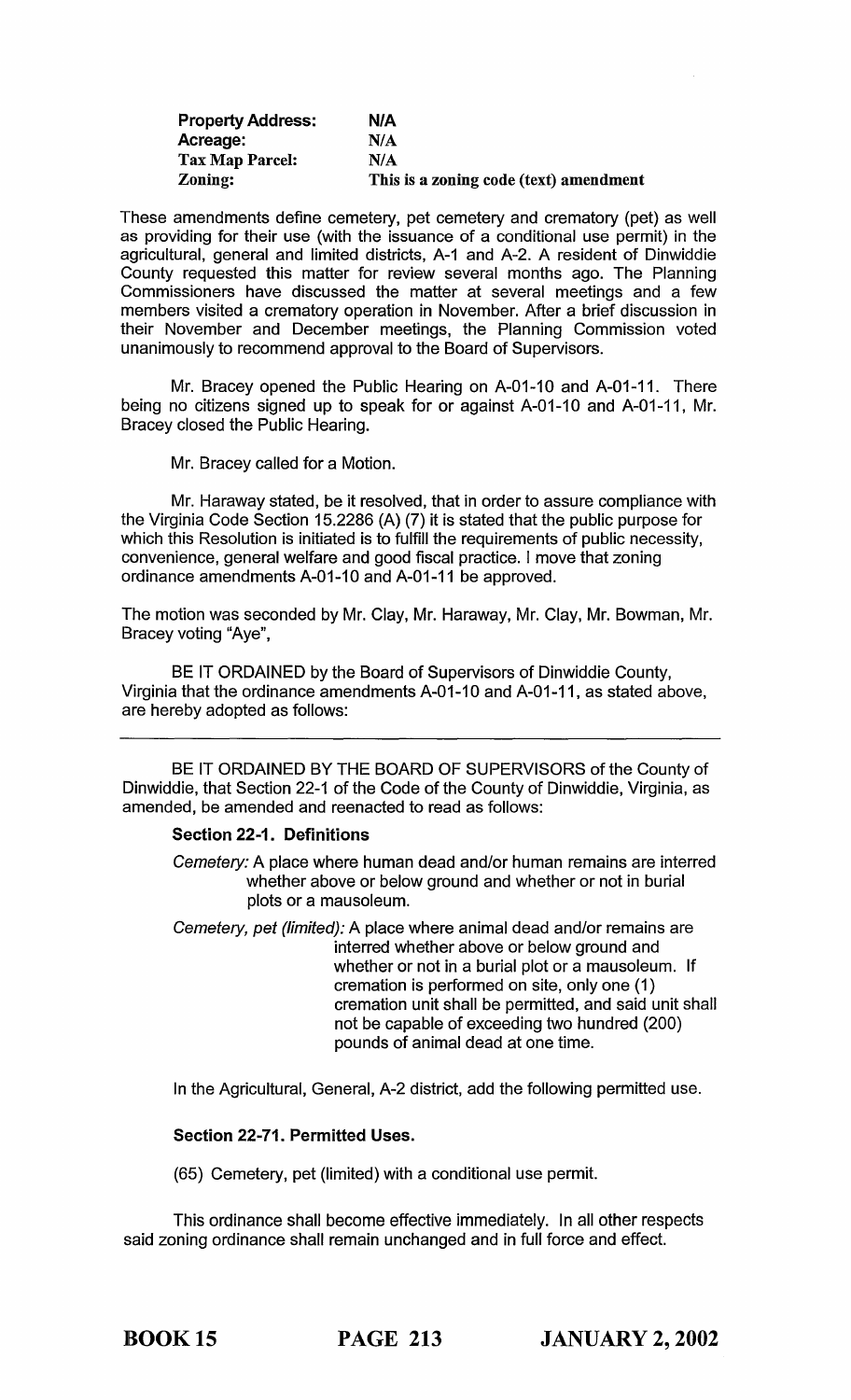| <b>Property Address:</b> | N/A                                    |
|--------------------------|----------------------------------------|
| Acreage:                 | N/A                                    |
| Tax Map Parcel:          | N/A                                    |
| Zoning:                  | This is a zoning code (text) amendment |

These amendments define cemetery, pet cemetery and crematory (pet) as well as providing for their use (with the issuance of a conditional use permit) in the agricultural, general and limited districts, A-1 and A-2. A resident of Dinwiddie County requested this matter for review several months ago. The Planning Commissioners have discussed the matter at several meetings and a few members visited a crematory operation in November. After a brief discussion in their November and December meetings, the Planning Commission voted unanimously to recommend approval to the Board of Supervisors.

Mr. Bracey opened the Public Hearing on A-01-10 and A-01-11. There being no citizens signed up to speak for or against A-01-10 and A-01-11, Mr. Bracey closed the Public Hearing.

Mr. Bracey called for a Motion.

Mr. Haraway stated, be it resolved, that in order to assure compliance with the Virginia Code Section 15.2286 (A) (7) it is stated that the public purpose for which this Resolution is initiated is to fulfill the requirements of public necessity, convenience, general welfare and good fiscal practice. I move that zoning ordinance amendments A-01-10 and A-01-11 be approved.

The motion was seconded by Mr. Clay, Mr. Haraway, Mr. Clay, Mr. Bowman, Mr. Bracey voting "Aye",

BE IT ORDAINED by the Board of Supervisors of Dinwiddie County, Virginia that the ordinance amendments A-01-10 and A-01-11, as stated above, are hereby adopted as follows:

BE IT ORDAINED BY THE BOARD OF SUPERVISORS of the County of Dinwiddie, that Section 22-1 of the Code of the County of Dinwiddie, Virginia, as amended, be amended and reenacted to read as follows:

# Section 22-1. Definitions

Cemetery: A place where human dead and/or human remains are interred whether above or below ground and whether or not in burial plots or a mausoleum.

Cemetery, pet (limited): A place where animal dead and/or remains are interred whether above or below ground and whether or not in a burial plot or a mausoleum. If cremation is performed on site, only one (1) cremation unit shall be permitted, and said unit shall not be capable of exceeding two hundred (200) pounds of animal dead at one time.

In the Agricultural, General, A-2 district, add the following permitted use.

# Section 22-71. Permitted Uses.

(65) Cemetery, pet (limited) with a conditional use permit.

This ordinance shall become effective immediately. In all other respects said zoning ordinance shall remain unchanged and in full force and effect.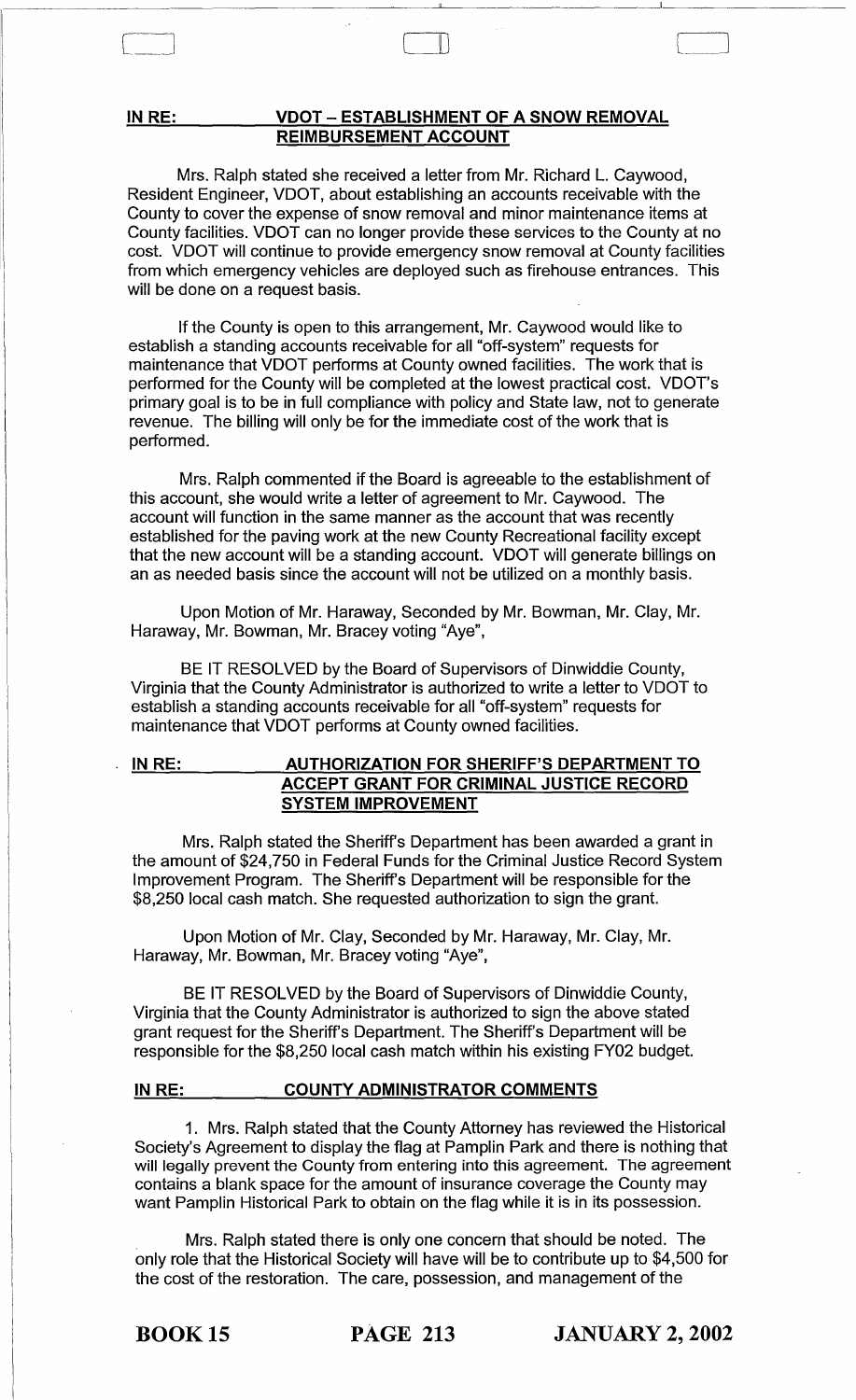#### IN RE: VDOT - ESTABLISHMENT OF A SNOW REMOVAL REIMBURSEMENT ACCOUNT

Mrs. Ralph stated she received a letter from Mr. Richard L. Caywood, Resident Engineer, VDOT, about establishing an accounts receivable with the County to cover the expense of snow removal and minor maintenance items at County facilities. VDOT can no longer provide these services to the County at no cost. VDOT will continue to provide emergency snow removal at County facilities from which emergency vehicles are deployed such as firehouse entrances. This will be done on a request basis.

 $\Box$ 

If the County is open to this arrangement, Mr. Caywood would like to establish a standing accounts receivable for all "off-system" requests for maintenance that VDOT performs at County owned facilities. The work that is performed for the County will be completed at the lowest practical cost. VDOT's primary goal is to be in full compliance with policy and State law, not to generate revenue. The billing will only be for the immediate cost of the work that is performed.

Mrs. Ralph commented if the Board is agreeable to the establishment of this account, she would write a letter of agreement to Mr. Caywood. The account will function in the same manner as the account that was recently established for the paving work at the new County Recreational facility except that the new account will be a standing account. VDOT will generate billings on an as needed basis since the account will not be utilized on a monthly basis.

Upon Motion of Mr. Haraway, Seconded by Mr. Bowman, Mr. Clay, Mr. Haraway, Mr. Bowman, Mr. Bracey voting "Aye",

BE IT RESOLVED by the Board of Supervisors of Dinwiddie County, Virginia that the County Administrator is authorized to write a letter to VDOT to establish a standing accounts receivable for all "off-system" requests for maintenance that VDOT performs at County owned facilities.

#### INRE: AUTHORIZATION FOR SHERIFF'S DEPARTMENT TO ACCEPT GRANT FOR CRIMINAL JUSTICE RECORD SYSTEM IMPROVEMENT

Mrs. Ralph stated the Sheriff's Department has been awarded a grant in the amount of \$24,750 in Federal Funds for the Criminal Justice Record System Improvement Program. The Sheriff's Department will be responsible for the \$8,250 local cash match. She requested authorization to sign the grant.

Upon Motion of Mr. Clay, Seconded by Mr. Haraway, Mr. Clay, Mr. Haraway, Mr. Bowman, Mr. Bracey voting "Aye",

BE IT RESOLVED by the Board of Supervisors of Dinwiddie County, Virginia that the County Administrator is authorized to sign the above stated grant request for the Sheriff's Department. The Sheriff's Department will be responsible for the \$8,250 local cash match within his existing FY02 budget.

#### IN RE: COUNTY ADMINISTRATOR COMMENTS

1. Mrs. Ralph stated that the County Attorney has reviewed the Historical Society's Agreement to display the flag at Pamplin Park and there is nothing that will legally prevent the County from entering into this agreement. The agreement contains a blank space for the amount of insurance coverage the County may want Pamplin Historical Park to obtain on the flag while it is in its possession.

Mrs. Ralph stated there is only one concern that should be noted. The only role that the Historical Society will have will be to contribute up to \$4,500 for the cost of the restoration. The care, possession, and management of the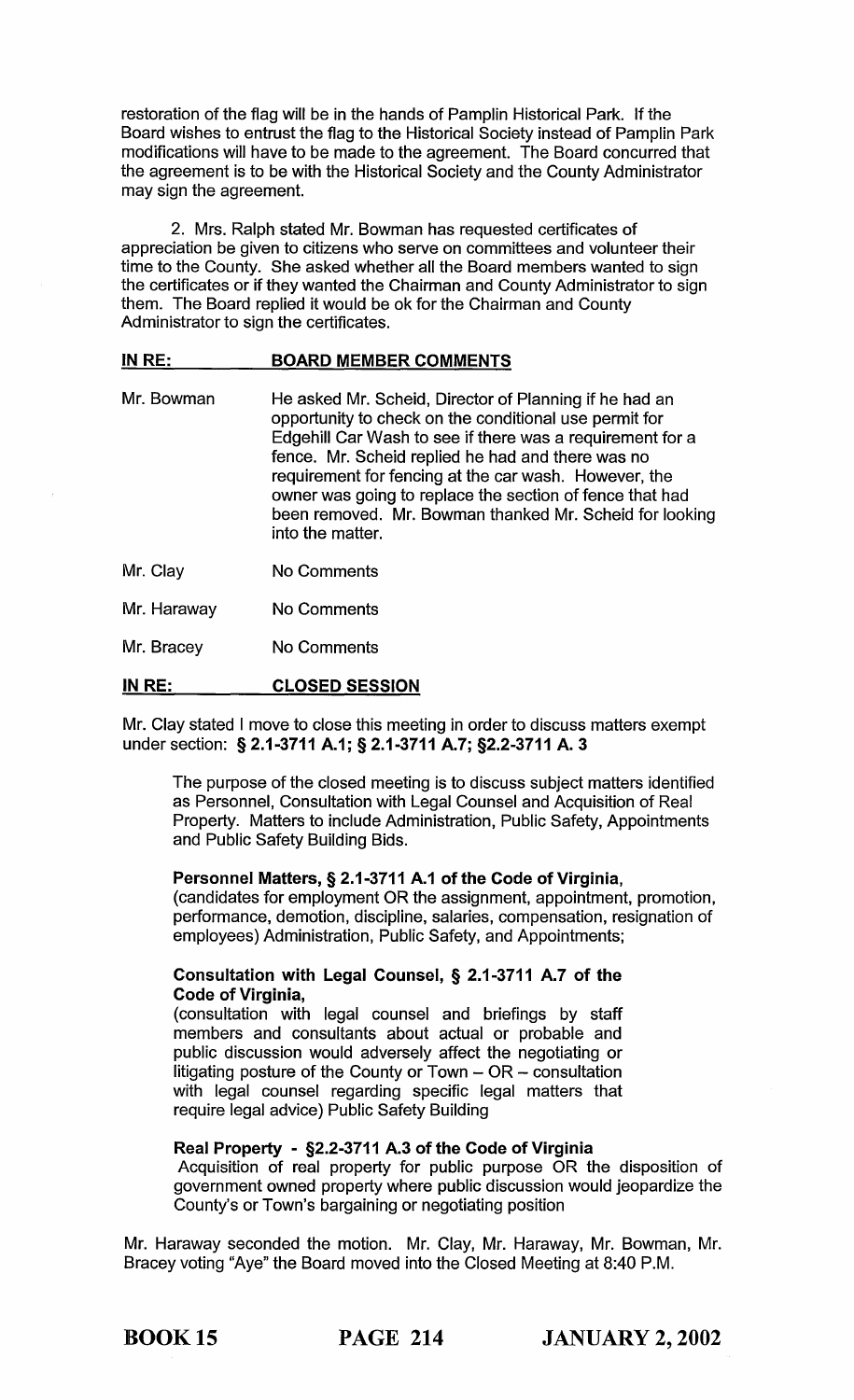restoration of the flag will be in the hands of Pamplin Historical Park. If the Board wishes to entrust the flag to the Historical Society instead of Pamplin Park modifications will have to be made to the agreement. The Board concurred that the agreement is to be with the Historical Society and the County Administrator may sign the agreement.

2. Mrs. Ralph stated Mr. Bowman has requested certificates of appreciation be given to citizens who serve on committees and volunteer their time to the County. She asked whether all the Board members wanted to sign the certificates or if they wanted the Chairman and County Administrator to sign them. The Board replied it would be ok for the Chairman and County Administrator to sign the certificates.

#### IN RE: BOARD MEMBER COMMENTS

- Mr. Bowman He asked Mr. Scheid, Director of Planning if he had an opportunity to check on the conditional use permit for Edgehill Car Wash to see if there was a requirement for a fence. Mr. Scheid replied he had and there was no requirement for fencing at the car wash. However, the owner was going to replace the section of fence that had been removed. Mr. Bowman thanked Mr. Scheid for looking into the matter.
- Mr. Clay No Comments
- Mr. Haraway No Comments
- Mr. Bracey No Comments

#### IN RE: CLOSED SESSION

Mr. Clay stated I move to close this meeting in order to discuss matters exempt under section: § 2.1-3711 A.1; § 2.1-3711 A.7; §2.2-3711 A.3

The purpose of the closed meeting is to discuss subject matters identified as Personnel, Consultation with Legal Counsel and Acquisition of Real Property. Matters to include Administration, Public Safety, Appointments and Public Safety Building Bids.

### Personnel Matters, § 2.1-3711 A.1 of the Code of Virginia,

(candidates for employment OR the assignment, appointment, promotion, performance, demotion, discipline, salaries, compensation, resignation of employees) Administration, Public Safety, and Appointments;

# Consultation with Legal Counsel, § 2.1-3711 A.7 of the Code of Virginia,

(consultation with legal counsel and briefings by staff members and consultants about actual or probable and public discussion would adversely affect the negotiating or litigating posture of the County or Town  $-$  OR  $-$  consultation with legal counsel regarding specific legal matters that require legal advice) Public Safety Building

# Real Property - §2.2-3711 A.3 of the Code of Virginia

Acquisition of real property for public purpose OR the disposition of government owned property where public discussion would jeopardize the County's or Town's bargaining or negotiating position

Mr. Haraway seconded the motion. Mr. Clay, Mr. Haraway, Mr. Bowman, Mr. Bracey voting "Aye" the Board moved into the Closed Meeting at 8:40 P.M.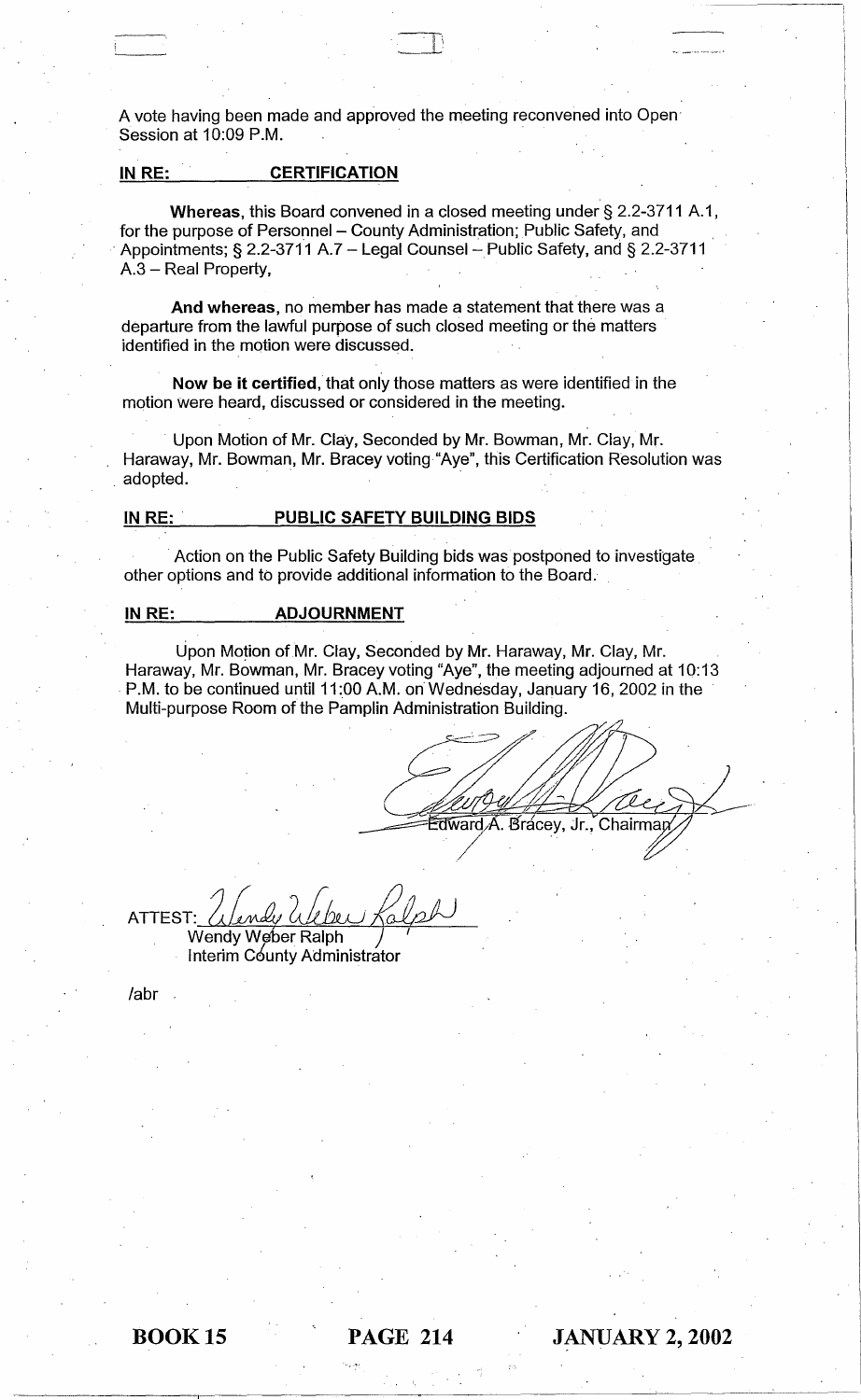A vote having been made and approved the meeting reconvened into Open· Session at 10:09 P.M.

 $\Box$  Ii

# IN RE: CERTIFICATION

Whereas, this Board convened in a closed meeting under § 2.2-3711 A.1, for the purpose of Personnel - County Administration; Public Safety, and Appointments; § 2.2-3711 A.7 - Legal Counsel - Public Safety, and § 2.2-3711 A.3 - Real Property,

And whereas, no member has made a statement that there was a departure from the lawful purpose of such closed meeting or the matters identified in the motion were discussed.

Now be it certified, that only those matters as were identified in the motion were heard, discussed or considered in the meeting.

. Upon Motion of Mr. Clay, Seconded by Mr. Bowman, Mr. Clay, Mr. Haraway, Mr. Bowman, Mr. Bracey voting "Aye", this Certification Resolution was . adopted.

#### IN RE: . PUBLIC SAFETY BUILDING BIDS

. Action on the Public Safety Building bids was postponed to investigate other options and to provide additional information to the Board.

#### IN RE: **ADJOURNMENT**

Upon Motion of Mr. Clay, Seconded by Mr. Haraway, Mr. Clay, Mr. Haraway, Mr. Bowman, Mr. Bracey voting "Aye", the meeting adjourned at 10:13 . P.M. to be continued until 11 :00 A.M. on Wednesday, January 16, 2002 in the Multi-purpose Room of the Pamplin Administration Building.

Edward A. Bracey, Jr., Chairmap

ATTEST: r: *Ulendy Ul*<br>Wendy Weber Re <u>Weber Kalph</u> falph

Interim C6unty Administrator

labr

~~~----~--~--~~----------------~------~--------~------~--~--~--~---~----------~.-----~----